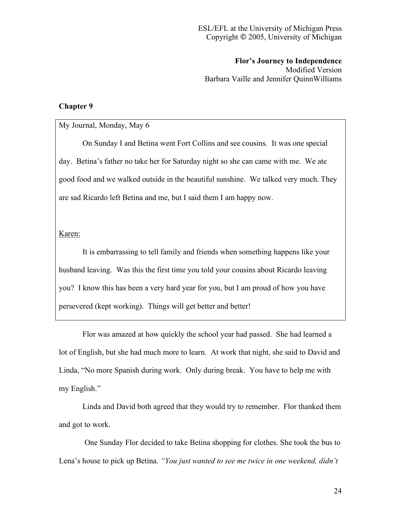**Flor's Journey to Independence** Modified Version Barbara Vaille and Jennifer QuinnWilliams

## **Chapter 9**

## My Journal, Monday, May 6

On Sunday I and Betina went Fort Collins and see cousins. It was one special day. Betina's father no take her for Saturday night so she can came with me. We ate good food and we walked outside in the beautiful sunshine. We talked very much. They are sad Ricardo left Betina and me, but I said them I am happy now.

## Karen:

It is embarrassing to tell family and friends when something happens like your husband leaving. Was this the first time you told your cousins about Ricardo leaving you? I know this has been a very hard year for you, but I am proud of how you have persevered (kept working). Things will get better and better!

Flor was amazed at how quickly the school year had passed. She had learned a lot of English, but she had much more to learn. At work that night, she said to David and Linda, "No more Spanish during work. Only during break. You have to help me with my English."

Linda and David both agreed that they would try to remember. Flor thanked them and got to work.

One Sunday Flor decided to take Betina shopping for clothes. She took the bus to Lena's house to pick up Betina. *"You just wanted to see me twice in one weekend, didn't*